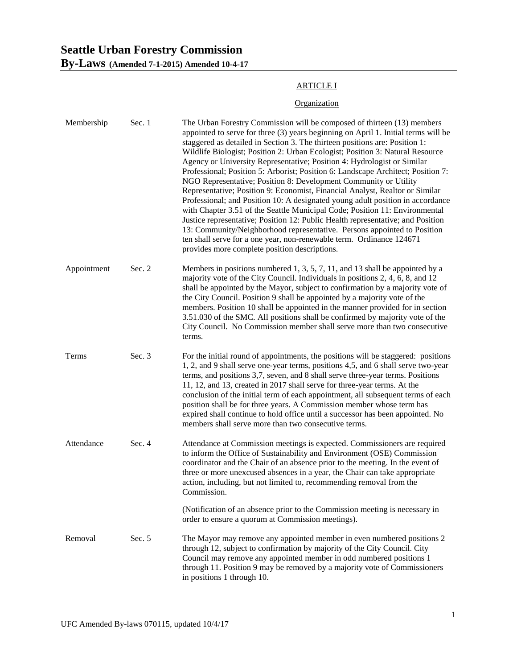# **Seattle Urban Forestry Commission By-Laws (Amended 7-1-2015) Amended 10-4-17**

### ARTICLE I

## **Organization**

| Membership  | Sec. 1 | The Urban Forestry Commission will be composed of thirteen (13) members<br>appointed to serve for three (3) years beginning on April 1. Initial terms will be<br>staggered as detailed in Section 3. The thirteen positions are: Position 1:<br>Wildlife Biologist; Position 2: Urban Ecologist; Position 3: Natural Resource<br>Agency or University Representative; Position 4: Hydrologist or Similar<br>Professional; Position 5: Arborist; Position 6: Landscape Architect; Position 7:<br>NGO Representative; Position 8: Development Community or Utility<br>Representative; Position 9: Economist, Financial Analyst, Realtor or Similar<br>Professional; and Position 10: A designated young adult position in accordance<br>with Chapter 3.51 of the Seattle Municipal Code; Position 11: Environmental<br>Justice representative; Position 12: Public Health representative; and Position<br>13: Community/Neighborhood representative. Persons appointed to Position<br>ten shall serve for a one year, non-renewable term. Ordinance 124671<br>provides more complete position descriptions. |
|-------------|--------|-----------------------------------------------------------------------------------------------------------------------------------------------------------------------------------------------------------------------------------------------------------------------------------------------------------------------------------------------------------------------------------------------------------------------------------------------------------------------------------------------------------------------------------------------------------------------------------------------------------------------------------------------------------------------------------------------------------------------------------------------------------------------------------------------------------------------------------------------------------------------------------------------------------------------------------------------------------------------------------------------------------------------------------------------------------------------------------------------------------|
| Appointment | Sec. 2 | Members in positions numbered 1, 3, 5, 7, 11, and 13 shall be appointed by a<br>majority vote of the City Council. Individuals in positions 2, 4, 6, 8, and 12<br>shall be appointed by the Mayor, subject to confirmation by a majority vote of<br>the City Council. Position 9 shall be appointed by a majority vote of the<br>members. Position 10 shall be appointed in the manner provided for in section<br>3.51.030 of the SMC. All positions shall be confirmed by majority vote of the<br>City Council. No Commission member shall serve more than two consecutive<br>terms.                                                                                                                                                                                                                                                                                                                                                                                                                                                                                                                     |
| Terms       | Sec. 3 | For the initial round of appointments, the positions will be staggered: positions<br>1, 2, and 9 shall serve one-year terms, positions 4,5, and 6 shall serve two-year<br>terms, and positions 3,7, seven, and 8 shall serve three-year terms. Positions<br>11, 12, and 13, created in 2017 shall serve for three-year terms. At the<br>conclusion of the initial term of each appointment, all subsequent terms of each<br>position shall be for three years. A Commission member whose term has<br>expired shall continue to hold office until a successor has been appointed. No<br>members shall serve more than two consecutive terms.                                                                                                                                                                                                                                                                                                                                                                                                                                                               |
| Attendance  | Sec. 4 | Attendance at Commission meetings is expected. Commissioners are required<br>to inform the Office of Sustainability and Environment (OSE) Commission<br>coordinator and the Chair of an absence prior to the meeting. In the event of<br>three or more unexcused absences in a year, the Chair can take appropriate<br>action, including, but not limited to, recommending removal from the<br>Commission.                                                                                                                                                                                                                                                                                                                                                                                                                                                                                                                                                                                                                                                                                                |
|             |        | (Notification of an absence prior to the Commission meeting is necessary in<br>order to ensure a quorum at Commission meetings).                                                                                                                                                                                                                                                                                                                                                                                                                                                                                                                                                                                                                                                                                                                                                                                                                                                                                                                                                                          |
| Removal     | Sec. 5 | The Mayor may remove any appointed member in even numbered positions 2<br>through 12, subject to confirmation by majority of the City Council. City<br>Council may remove any appointed member in odd numbered positions 1<br>through 11. Position 9 may be removed by a majority vote of Commissioners<br>in positions 1 through 10.                                                                                                                                                                                                                                                                                                                                                                                                                                                                                                                                                                                                                                                                                                                                                                     |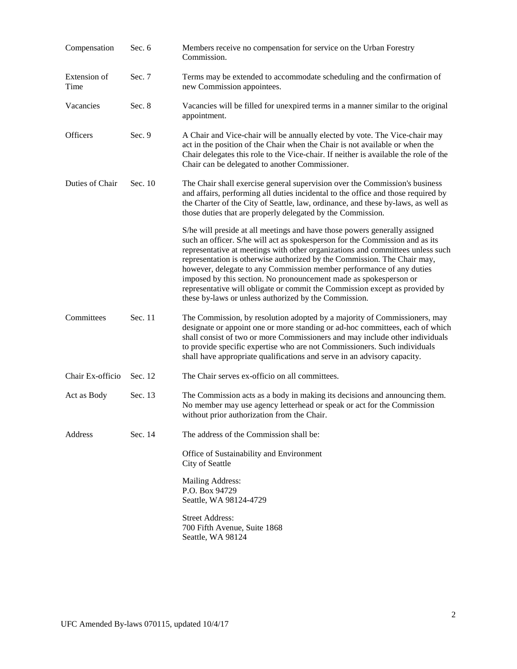| Compensation         | Sec. 6  | Members receive no compensation for service on the Urban Forestry<br>Commission.                                                                                                                                                                                                                                                                                                                                                                                                                                                                                                                              |
|----------------------|---------|---------------------------------------------------------------------------------------------------------------------------------------------------------------------------------------------------------------------------------------------------------------------------------------------------------------------------------------------------------------------------------------------------------------------------------------------------------------------------------------------------------------------------------------------------------------------------------------------------------------|
| Extension of<br>Time | Sec. 7  | Terms may be extended to accommodate scheduling and the confirmation of<br>new Commission appointees.                                                                                                                                                                                                                                                                                                                                                                                                                                                                                                         |
| Vacancies            | Sec. 8  | Vacancies will be filled for unexpired terms in a manner similar to the original<br>appointment.                                                                                                                                                                                                                                                                                                                                                                                                                                                                                                              |
| Officers             | Sec. 9  | A Chair and Vice-chair will be annually elected by vote. The Vice-chair may<br>act in the position of the Chair when the Chair is not available or when the<br>Chair delegates this role to the Vice-chair. If neither is available the role of the<br>Chair can be delegated to another Commissioner.                                                                                                                                                                                                                                                                                                        |
| Duties of Chair      | Sec. 10 | The Chair shall exercise general supervision over the Commission's business<br>and affairs, performing all duties incidental to the office and those required by<br>the Charter of the City of Seattle, law, ordinance, and these by-laws, as well as<br>those duties that are properly delegated by the Commission.                                                                                                                                                                                                                                                                                          |
|                      |         | S/he will preside at all meetings and have those powers generally assigned<br>such an officer. S/he will act as spokesperson for the Commission and as its<br>representative at meetings with other organizations and committees unless such<br>representation is otherwise authorized by the Commission. The Chair may,<br>however, delegate to any Commission member performance of any duties<br>imposed by this section. No pronouncement made as spokesperson or<br>representative will obligate or commit the Commission except as provided by<br>these by-laws or unless authorized by the Commission. |
| Committees           | Sec. 11 | The Commission, by resolution adopted by a majority of Commissioners, may<br>designate or appoint one or more standing or ad-hoc committees, each of which<br>shall consist of two or more Commissioners and may include other individuals<br>to provide specific expertise who are not Commissioners. Such individuals<br>shall have appropriate qualifications and serve in an advisory capacity.                                                                                                                                                                                                           |
| Chair Ex-officio     | Sec. 12 | The Chair serves ex-officio on all committees.                                                                                                                                                                                                                                                                                                                                                                                                                                                                                                                                                                |
| Act as Body          | Sec. 13 | The Commission acts as a body in making its decisions and announcing them.<br>No member may use agency letterhead or speak or act for the Commission<br>without prior authorization from the Chair.                                                                                                                                                                                                                                                                                                                                                                                                           |
| <b>Address</b>       | Sec. 14 | The address of the Commission shall be:                                                                                                                                                                                                                                                                                                                                                                                                                                                                                                                                                                       |
|                      |         | Office of Sustainability and Environment<br>City of Seattle                                                                                                                                                                                                                                                                                                                                                                                                                                                                                                                                                   |
|                      |         | Mailing Address:<br>P.O. Box 94729<br>Seattle, WA 98124-4729                                                                                                                                                                                                                                                                                                                                                                                                                                                                                                                                                  |
|                      |         | <b>Street Address:</b><br>700 Fifth Avenue, Suite 1868<br>Seattle, WA 98124                                                                                                                                                                                                                                                                                                                                                                                                                                                                                                                                   |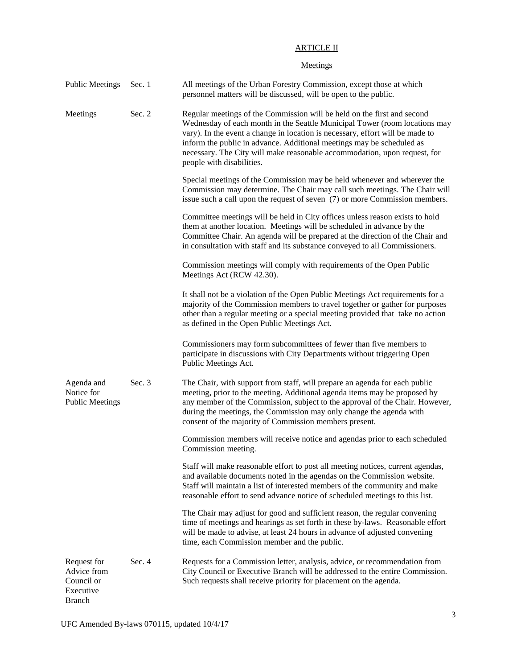## ARTICLE II

### **Meetings**

| <b>Public Meetings</b>                                                 | Sec. 1 | All meetings of the Urban Forestry Commission, except those at which<br>personnel matters will be discussed, will be open to the public.                                                                                                                                                                                                                                                                                  |
|------------------------------------------------------------------------|--------|---------------------------------------------------------------------------------------------------------------------------------------------------------------------------------------------------------------------------------------------------------------------------------------------------------------------------------------------------------------------------------------------------------------------------|
| Meetings                                                               | Sec. 2 | Regular meetings of the Commission will be held on the first and second<br>Wednesday of each month in the Seattle Municipal Tower (room locations may<br>vary). In the event a change in location is necessary, effort will be made to<br>inform the public in advance. Additional meetings may be scheduled as<br>necessary. The City will make reasonable accommodation, upon request, for<br>people with disabilities. |
|                                                                        |        | Special meetings of the Commission may be held whenever and wherever the<br>Commission may determine. The Chair may call such meetings. The Chair will<br>issue such a call upon the request of seven (7) or more Commission members.                                                                                                                                                                                     |
|                                                                        |        | Committee meetings will be held in City offices unless reason exists to hold<br>them at another location. Meetings will be scheduled in advance by the<br>Committee Chair. An agenda will be prepared at the direction of the Chair and<br>in consultation with staff and its substance conveyed to all Commissioners.                                                                                                    |
|                                                                        |        | Commission meetings will comply with requirements of the Open Public<br>Meetings Act (RCW 42.30).                                                                                                                                                                                                                                                                                                                         |
|                                                                        |        | It shall not be a violation of the Open Public Meetings Act requirements for a<br>majority of the Commission members to travel together or gather for purposes<br>other than a regular meeting or a special meeting provided that take no action<br>as defined in the Open Public Meetings Act.                                                                                                                           |
|                                                                        |        | Commissioners may form subcommittees of fewer than five members to<br>participate in discussions with City Departments without triggering Open<br>Public Meetings Act.                                                                                                                                                                                                                                                    |
| Agenda and<br>Notice for<br><b>Public Meetings</b>                     | Sec. 3 | The Chair, with support from staff, will prepare an agenda for each public<br>meeting, prior to the meeting. Additional agenda items may be proposed by<br>any member of the Commission, subject to the approval of the Chair. However,<br>during the meetings, the Commission may only change the agenda with<br>consent of the majority of Commission members present.                                                  |
|                                                                        |        | Commission members will receive notice and agendas prior to each scheduled<br>Commission meeting.                                                                                                                                                                                                                                                                                                                         |
|                                                                        |        | Staff will make reasonable effort to post all meeting notices, current agendas,<br>and available documents noted in the agendas on the Commission website.<br>Staff will maintain a list of interested members of the community and make<br>reasonable effort to send advance notice of scheduled meetings to this list.                                                                                                  |
|                                                                        |        | The Chair may adjust for good and sufficient reason, the regular convening<br>time of meetings and hearings as set forth in these by-laws. Reasonable effort<br>will be made to advise, at least 24 hours in advance of adjusted convening<br>time, each Commission member and the public.                                                                                                                                |
| Request for<br>Advice from<br>Council or<br>Executive<br><b>Branch</b> | Sec. 4 | Requests for a Commission letter, analysis, advice, or recommendation from<br>City Council or Executive Branch will be addressed to the entire Commission.<br>Such requests shall receive priority for placement on the agenda.                                                                                                                                                                                           |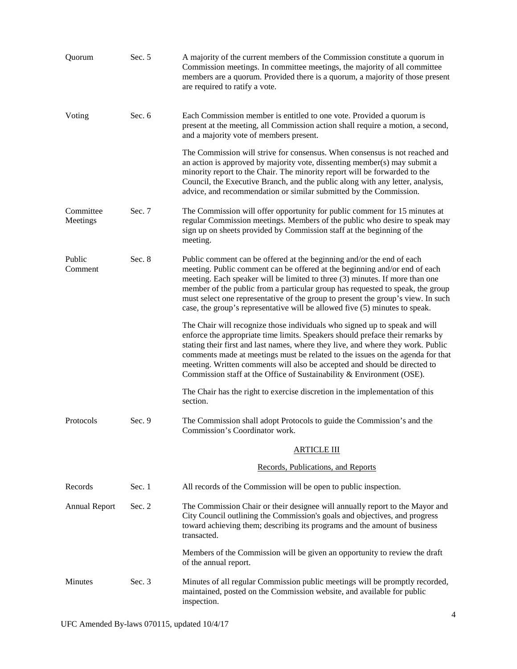| Quorum                | Sec. 5 | A majority of the current members of the Commission constitute a quorum in<br>Commission meetings. In committee meetings, the majority of all committee<br>members are a quorum. Provided there is a quorum, a majority of those present<br>are required to ratify a vote.                                                                                                                                                                                                               |
|-----------------------|--------|------------------------------------------------------------------------------------------------------------------------------------------------------------------------------------------------------------------------------------------------------------------------------------------------------------------------------------------------------------------------------------------------------------------------------------------------------------------------------------------|
| Voting                | Sec. 6 | Each Commission member is entitled to one vote. Provided a quorum is<br>present at the meeting, all Commission action shall require a motion, a second,<br>and a majority vote of members present.                                                                                                                                                                                                                                                                                       |
|                       |        | The Commission will strive for consensus. When consensus is not reached and<br>an action is approved by majority vote, dissenting member(s) may submit a<br>minority report to the Chair. The minority report will be forwarded to the<br>Council, the Executive Branch, and the public along with any letter, analysis,<br>advice, and recommendation or similar submitted by the Commission.                                                                                           |
| Committee<br>Meetings | Sec. 7 | The Commission will offer opportunity for public comment for 15 minutes at<br>regular Commission meetings. Members of the public who desire to speak may<br>sign up on sheets provided by Commission staff at the beginning of the<br>meeting.                                                                                                                                                                                                                                           |
| Public<br>Comment     | Sec. 8 | Public comment can be offered at the beginning and/or the end of each<br>meeting. Public comment can be offered at the beginning and/or end of each<br>meeting. Each speaker will be limited to three (3) minutes. If more than one<br>member of the public from a particular group has requested to speak, the group<br>must select one representative of the group to present the group's view. In such<br>case, the group's representative will be allowed five (5) minutes to speak. |
|                       |        | The Chair will recognize those individuals who signed up to speak and will<br>enforce the appropriate time limits. Speakers should preface their remarks by<br>stating their first and last names, where they live, and where they work. Public<br>comments made at meetings must be related to the issues on the agenda for that<br>meeting. Written comments will also be accepted and should be directed to<br>Commission staff at the Office of Sustainability & Environment (OSE).  |
|                       |        | The Chair has the right to exercise discretion in the implementation of this<br>section.                                                                                                                                                                                                                                                                                                                                                                                                 |
| Protocols             | Sec. 9 | The Commission shall adopt Protocols to guide the Commission's and the<br>Commission's Coordinator work.                                                                                                                                                                                                                                                                                                                                                                                 |
|                       |        | <b>ARTICLE III</b>                                                                                                                                                                                                                                                                                                                                                                                                                                                                       |
|                       |        | Records, Publications, and Reports                                                                                                                                                                                                                                                                                                                                                                                                                                                       |
| Records               | Sec. 1 | All records of the Commission will be open to public inspection.                                                                                                                                                                                                                                                                                                                                                                                                                         |
| <b>Annual Report</b>  | Sec. 2 | The Commission Chair or their designee will annually report to the Mayor and<br>City Council outlining the Commission's goals and objectives, and progress<br>toward achieving them; describing its programs and the amount of business<br>transacted.                                                                                                                                                                                                                                   |
|                       |        | Members of the Commission will be given an opportunity to review the draft<br>of the annual report.                                                                                                                                                                                                                                                                                                                                                                                      |
| Minutes               | Sec. 3 | Minutes of all regular Commission public meetings will be promptly recorded,<br>maintained, posted on the Commission website, and available for public<br>inspection.                                                                                                                                                                                                                                                                                                                    |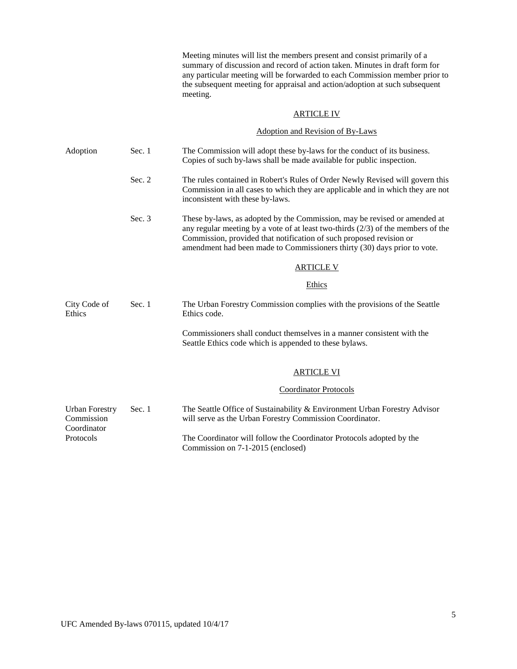Meeting minutes will list the members present and consist primarily of a summary of discussion and record of action taken. Minutes in draft form for any particular meeting will be forwarded to each Commission member prior to the subsequent meeting for appraisal and action/adoption at such subsequent meeting.

#### ARTICLE IV

### Adoption and Revision of By-Laws

| Adoption                                           | Sec. 1 | The Commission will adopt these by-laws for the conduct of its business.<br>Copies of such by-laws shall be made available for public inspection.                                                                                                                                                                  |
|----------------------------------------------------|--------|--------------------------------------------------------------------------------------------------------------------------------------------------------------------------------------------------------------------------------------------------------------------------------------------------------------------|
|                                                    | Sec. 2 | The rules contained in Robert's Rules of Order Newly Revised will govern this<br>Commission in all cases to which they are applicable and in which they are not<br>inconsistent with these by-laws.                                                                                                                |
|                                                    | Sec. 3 | These by-laws, as adopted by the Commission, may be revised or amended at<br>any regular meeting by a vote of at least two-thirds $(2/3)$ of the members of the<br>Commission, provided that notification of such proposed revision or<br>amendment had been made to Commissioners thirty (30) days prior to vote. |
|                                                    |        | <b>ARTICLE V</b>                                                                                                                                                                                                                                                                                                   |
|                                                    |        | Ethics                                                                                                                                                                                                                                                                                                             |
| City Code of<br>Ethics                             | Sec. 1 | The Urban Forestry Commission complies with the provisions of the Seattle<br>Ethics code.                                                                                                                                                                                                                          |
|                                                    |        | Commissioners shall conduct themselves in a manner consistent with the<br>Seattle Ethics code which is appended to these bylaws.                                                                                                                                                                                   |
|                                                    |        | <b>ARTICLE VI</b>                                                                                                                                                                                                                                                                                                  |
|                                                    |        | <b>Coordinator Protocols</b>                                                                                                                                                                                                                                                                                       |
| <b>Urban Forestry</b><br>Commission<br>Coordinator | Sec. 1 | The Seattle Office of Sustainability & Environment Urban Forestry Advisor<br>will serve as the Urban Forestry Commission Coordinator.                                                                                                                                                                              |
| Protocols                                          |        | The Coordinator will follow the Coordinator Protocols adopted by the<br>Commission on 7-1-2015 (enclosed)                                                                                                                                                                                                          |